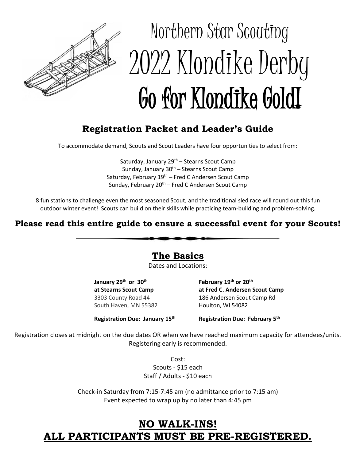

# Northern Star Scouting 2022 Klondike Derby Go for Klondike GoldI

# **Registration Packet and Leader's Guide**

To accommodate demand, Scouts and Scout Leaders have four opportunities to select from:

Saturday, January  $29<sup>th</sup>$  – Stearns Scout Camp Sunday, January 30<sup>th</sup> – Stearns Scout Camp Saturday, February  $19<sup>th</sup>$  – Fred C Andersen Scout Camp Sunday, February 20<sup>th</sup> – Fred C Andersen Scout Camp

8 fun stations to challenge even the most seasoned Scout, and the traditional sled race will round out this fun outdoor winter event! Scouts can build on their skills while practicing team-building and problem-solving.

### **Please read this entire guide to ensure a successful event for your Scouts!**

**The Basics**

Dates and Locations:

**January 29th or 30th February 19th or 20th** South Haven, MN 55382 Houlton, WI 54082

**at Stearns Scout Camp at Fred C. Andersen Scout Camp** 3303 County Road 44 186 Andersen Scout Camp Rd

**Registration Due: January 15<sup>th</sup>** 

**Registration Due: February 5th** 

Registration closes at midnight on the due dates OR when we have reached maximum capacity for attendees/units. Registering early is recommended.

Cost:

Scouts - \$15 each Staff / Adults - \$10 each

Check-in Saturday from 7:15-7:45 am (no admittance prior to 7:15 am) Event expected to wrap up by no later than 4:45 pm

# **NO WALK-INS! ALL PARTICIPANTS MUST BE PRE-REGISTERED.**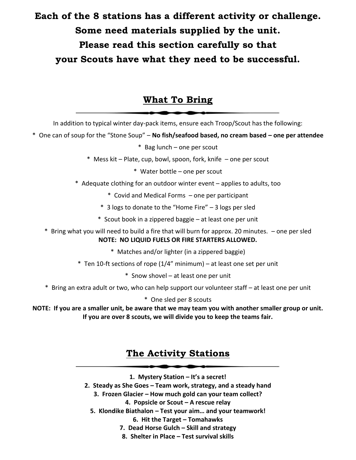# **Each of the 8 stations has a different activity or challenge. Some need materials supplied by the unit. Please read this section carefully so that your Scouts have what they need to be successful.**

## **What To Bring**

In addition to typical winter day-pack items, ensure each Troop/Scout has the following:

\* One can of soup for the "Stone Soup" – **No fish/seafood based, no cream based – one per attendee** \* Bag lunch – one per scout

- \* Mess kit Plate, cup, bowl, spoon, fork, knife one per scout
	- \* Water bottle one per scout
- \* Adequate clothing for an outdoor winter event applies to adults, too
	- \* Covid and Medical Forms one per participant
	- \* 3 logs to donate to the "Home Fire" 3 logs per sled
	- \* Scout book in a zippered baggie at least one per unit
- \* Bring what you will need to build a fire that will burn for approx. 20 minutes. one per sled **NOTE: NO LIQUID FUELS OR FIRE STARTERS ALLOWED.**
	- \* Matches and/or lighter (in a zippered baggie)
	- \* Ten 10-ft sections of rope (1/4" minimum) at least one set per unit
		- \* Snow shovel at least one per unit
- \* Bring an extra adult or two, who can help support our volunteer staff at least one per unit
	- \* One sled per 8 scouts

**NOTE: If you are a smaller unit, be aware that we may team you with another smaller group or unit. If you are over 8 scouts, we will divide you to keep the teams fair.**

## **The Activity Stations**

- **1. Mystery Station – It's a secret!**
- **2. Steady as She Goes – Team work, strategy, and a steady hand**
	- **3. Frozen Glacier – How much gold can your team collect?**
		- **4. Popsicle or Scout – A rescue relay**
	- **5. Klondike Biathalon – Test your aim… and your teamwork!**
		- **6. Hit the Target – Tomahawks**
		- **7. Dead Horse Gulch – Skill and strategy**
		- **8. Shelter in Place – Test survival skills**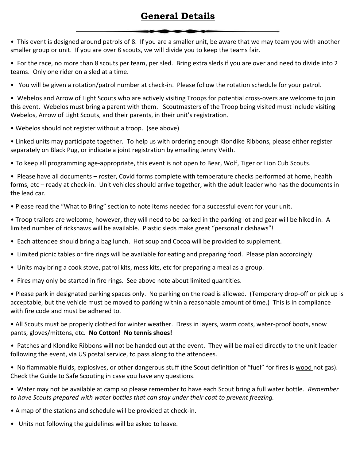# **General Details**

• This event is designed around patrols of 8. If you are a smaller unit, be aware that we may team you with another smaller group or unit. If you are over 8 scouts, we will divide you to keep the teams fair.

• For the race, no more than 8 scouts per team, per sled. Bring extra sleds if you are over and need to divide into 2 teams. Only one rider on a sled at a time.

• You will be given a rotation/patrol number at check-in. Please follow the rotation schedule for your patrol.

• Webelos and Arrow of Light Scouts who are actively visiting Troops for potential cross-overs are welcome to join this event. Webelos must bring a parent with them. Scoutmasters of the Troop being visited must include visiting Webelos, Arrow of Light Scouts, and their parents, in their unit's registration.

• Webelos should not register without a troop. (see above)

• Linked units may participate together. To help us with ordering enough Klondike Ribbons, please either register separately on Black Pug, or indicate a joint registration by emailing Jenny Veith.

• To keep all programming age-appropriate, this event is not open to Bear, Wolf, Tiger or Lion Cub Scouts.

• Please have all documents – roster, Covid forms complete with temperature checks performed at home, health forms, etc – ready at check-in. Unit vehicles should arrive together, with the adult leader who has the documents in the lead car.

• Please read the "What to Bring" section to note items needed for a successful event for your unit.

• Troop trailers are welcome; however, they will need to be parked in the parking lot and gear will be hiked in. A limited number of rickshaws will be available. Plastic sleds make great "personal rickshaws"!

- Each attendee should bring a bag lunch. Hot soup and Cocoa will be provided to supplement.
- Limited picnic tables or fire rings will be available for eating and preparing food. Please plan accordingly.
- Units may bring a cook stove, patrol kits, mess kits, etc for preparing a meal as a group.
- Fires may only be started in fire rings. See above note about limited quantities.

• Please park in designated parking spaces only. No parking on the road is allowed. (Temporary drop-off or pick up is acceptable, but the vehicle must be moved to parking within a reasonable amount of time.) This is in compliance with fire code and must be adhered to.

• All Scouts must be properly clothed for winter weather. Dress in layers, warm coats, water-proof boots, snow pants, gloves/mittens, etc. **No Cotton! No tennis shoes!**

• Patches and Klondike Ribbons will not be handed out at the event. They will be mailed directly to the unit leader following the event, via US postal service, to pass along to the attendees.

• No flammable fluids, explosives, or other dangerous stuff (the Scout definition of "fuel" for fires is wood not gas). Check the Guide to Safe Scouting in case you have any questions.

• Water may not be available at camp so please remember to have each Scout bring a full water bottle. *Remember to have Scouts prepared with water bottles that can stay under their coat to prevent freezing.*

• A map of the stations and schedule will be provided at check-in.

• Units not following the guidelines will be asked to leave.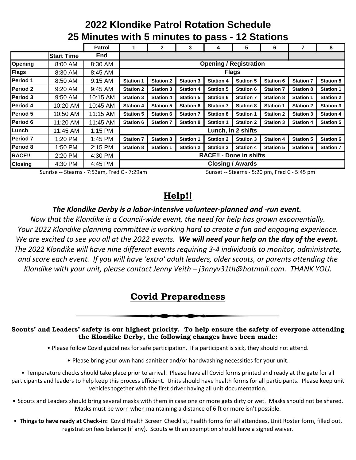#### **Patrol 1 2 3 4 5 6 7 8 Start Time End Opening | 8:00 AM | 8:30 AM Flags** | 8:30 AM | 8:45 AM **Period 1** | 8:50 AM | 9:15 AM | Station 1 | Station 2 | Station 3 | Station 4 | Station 5 | Station 6 | Station 7 | Station 8 **Period 2** 9:20 AM 9:45 AM **Station 2 Station 3 Station 4 Station 5 Station 6 Station 7 Station 8 Station 1 Period 3** 9:50 AM 10:15 AM **Station 3 Station 4 Station 5 Station 6 Station 7 Station 8 Station 1 Station 2 Period 4** 10:20 AM 10:45 AM **Station 4 Station 5 Station 6 Station 7 Station 8 Station 1 Station 2 Station 3 Period 5** 10:50 AM 11:15 AM **Station 5 Station 6 Station 7 Station 8 Station 1 Station 2 Station 3 Station 4 Period 6** 11:20 AM 11:45 AM **Station 6 Station 7 Station 8 Station 1 Station 2 Station 3 Station 4 Station 5 Lunch** 11:45 AM 1:15 PM **Period 7** 1:20 PM 1:45 PM **Station 7 Station 8 Station 1 Station 2 Station 3 Station 4 Station 5 Station 6**  Period 8 | 1:50 PM | 2:15 PM **|** Station 8 **|** Station 1 | Station 2 | Station 3 | Station 4 | Station 5 | Station 6 | Station 7 **RACE!!** 2:20 PM 4:30 PM **Closing** 4:30 PM 4:45 PM **Flags Lunch, in 2 shifts RACE!! - Done in shifts Closing / Awards Opening / Registration**

# **2022 Klondike Patrol Rotation Schedule 25 Minutes with 5 minutes to pass - 12 Stations**

Sunrise -- Stearns - 7:53am, Fred C - 7:29am Sunset -- Stearns - 5:20 pm, Fred C - 5:45 pm

## **Help!!**

#### *The Klondike Derby is a labor-intensive volunteer-planned and -run event.*

*Now that the Klondike is a Council-wide event, the need for help has grown exponentially. Your 2022 Klondike planning committee is working hard to create a fun and engaging experience.*  We are excited to see you all at the 2022 events. We will need your help on the day of the event. *The 2022 Klondike will have nine different events requiring 3-4 individuals to monitor, administrate, and score each event. If you will have 'extra' adult leaders, older scouts, or parents attending the Klondike with your unit, please contact Jenny Veith – j3nnyv31th@hotmail.com. THANK YOU.*

# **Covid Preparedness**

#### **Scouts' and Leaders' safety is our highest priority. To help ensure the safety of everyone attending the Klondike Derby, the following changes have been made:**

- Please follow Covid guidelines for safe participation. If a participant is sick, they should not attend.
	- Please bring your own hand sanitizer and/or handwashing necessities for your unit.

• Temperature checks should take place prior to arrival. Please have all Covid forms printed and ready at the gate for all participants and leaders to help keep this process efficient. Units should have health forms for all participants. Please keep unit vehicles together with the first driver having all unit documentation.

- Scouts and Leaders should bring several masks with them in case one or more gets dirty or wet. Masks should not be shared. Masks must be worn when maintaining a distance of 6 ft or more isn't possible.
- **Things to have ready at Check-in:** Covid Health Screen Checklist, health forms for all attendees, Unit Roster form, filled out, registration fees balance (if any). Scouts with an exemption should have a signed waiver.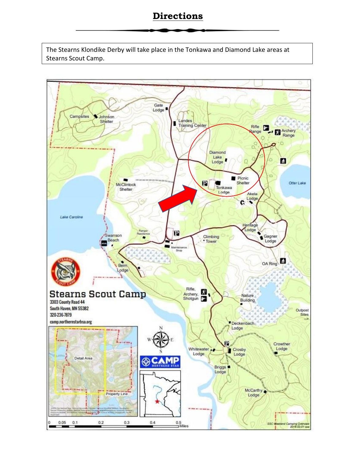## **Directions**

The Stearns Klondike Derby will take place in the Tonkawa and Diamond Lake areas at Stearns Scout Camp.

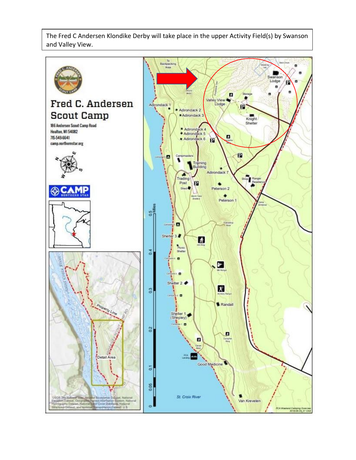The Fred C Andersen Klondike Derby will take place in the upper Activity Field(s) by Swanson and Valley View.

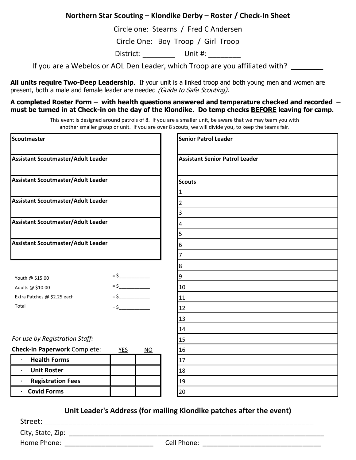#### **Northern Star Scouting – Klondike Derby – Roster / Check-In Sheet**

Circle one: Stearns / Fred C Andersen

Circle One: Boy Troop / Girl Troop

District: Unit #:

If you are a Webelos or AOL Den Leader, which Troop are you affiliated with?

**All units require Two-Deep Leadership**. If your unit is a linked troop and both young men and women are present, both a male and female leader are needed (Guide to Safe Scouting).

**A completed Roster Form – with health questions answered and temperature checked and recorded – must be turned in at Check-in on the day of the Klondike. Do temp checks BEFORE leaving for camp.**

This event is designed around patrols of 8. If you are a smaller unit, be aware that we may team you with divide into 2 pods. another smaller group or unit. If you are over 8 scouts, we will divide you, to keep the teams fair.

| Scoutmaster                                 |            |           | <b>Senior Patrol Leader</b>                            |  |  |  |  |  |  |
|---------------------------------------------|------------|-----------|--------------------------------------------------------|--|--|--|--|--|--|
| Assistant Scoutmaster/Adult Leader          |            |           | <b>Assistant Senior Patrol Leader</b><br><b>Scouts</b> |  |  |  |  |  |  |
| Assistant Scoutmaster/Adult Leader          |            |           |                                                        |  |  |  |  |  |  |
| Assistant Scoutmaster/Adult Leader          |            |           |                                                        |  |  |  |  |  |  |
|                                             |            |           | 3                                                      |  |  |  |  |  |  |
| Assistant Scoutmaster/Adult Leader          |            |           | 4                                                      |  |  |  |  |  |  |
|                                             |            |           | 5                                                      |  |  |  |  |  |  |
| Assistant Scoutmaster/Adult Leader          |            |           | 6                                                      |  |  |  |  |  |  |
|                                             |            |           |                                                        |  |  |  |  |  |  |
|                                             |            |           | 8                                                      |  |  |  |  |  |  |
| Youth @ \$15.00                             |            |           | 9                                                      |  |  |  |  |  |  |
| Adults @ \$10.00                            | $=$ \$     |           | 10                                                     |  |  |  |  |  |  |
| Extra Patches @ \$2.25 each                 | $=$ \$     |           | 11                                                     |  |  |  |  |  |  |
| Total                                       | $=$ \$     |           | 12                                                     |  |  |  |  |  |  |
|                                             |            |           | 13                                                     |  |  |  |  |  |  |
|                                             |            |           | 14                                                     |  |  |  |  |  |  |
| For use by Registration Staff:              |            |           | 15                                                     |  |  |  |  |  |  |
| <b>Check-in Paperwork Complete:</b>         | <b>YES</b> | <b>NO</b> | 16                                                     |  |  |  |  |  |  |
| <b>Health Forms</b><br>$\ddot{\phantom{0}}$ |            |           | 17                                                     |  |  |  |  |  |  |
| <b>Unit Roster</b><br>$\bullet$             |            |           | 18                                                     |  |  |  |  |  |  |
| <b>Registration Fees</b>                    |            |           | 19                                                     |  |  |  |  |  |  |
| · Covid Forms                               |            |           | 20                                                     |  |  |  |  |  |  |

**Unit Leader's Address (for mailing Klondike patches after the event)**

Street: \_\_\_\_\_\_\_\_\_\_\_\_\_\_\_\_\_\_\_\_\_\_\_\_\_\_\_\_\_\_\_\_\_\_\_\_\_\_\_\_\_\_\_\_\_\_\_\_\_\_\_\_\_\_\_\_\_\_\_\_\_\_\_\_\_\_\_

City, State, Zip: \_\_\_\_\_\_\_\_\_\_\_\_\_\_\_\_\_\_\_\_\_\_\_\_\_\_\_\_\_\_\_\_\_\_\_\_\_\_\_\_\_\_\_\_\_\_\_\_\_\_\_\_\_\_\_\_\_\_\_\_\_\_\_\_\_\_\_\_\_

Home Phone: \_\_\_\_\_\_\_\_\_\_\_\_\_\_\_\_\_\_\_\_\_\_\_\_ Cell Phone: \_\_\_\_\_\_\_\_\_\_\_\_\_\_\_\_\_\_\_\_\_\_\_\_\_\_\_\_\_\_\_\_